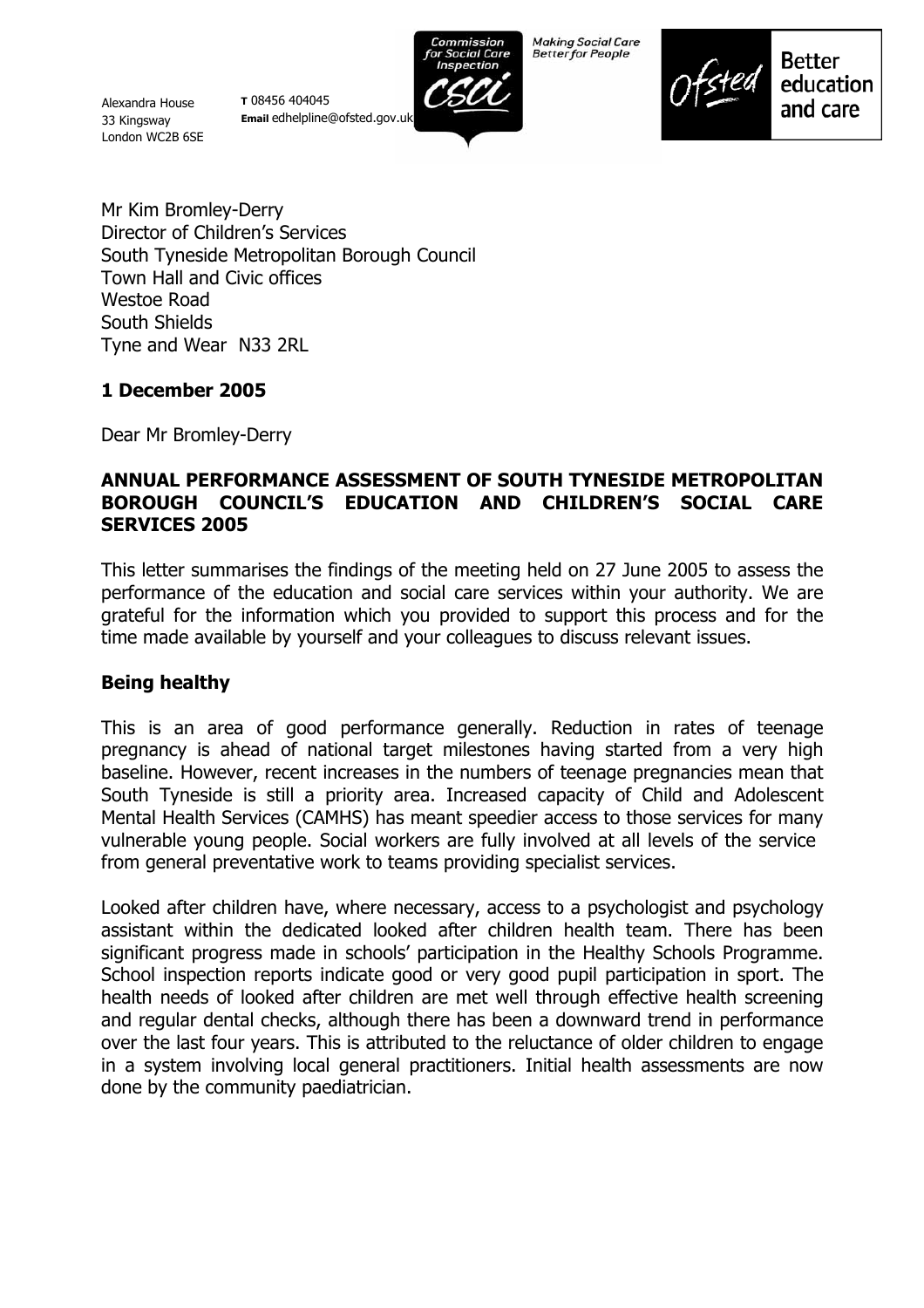Alexandra House 33 Kingsway London WC2B 6SE

**T** 08456 404045 **Email** edhelpline@ofsted.gov.uk



**Making Social Care Better for People** 



**Better** education and care

Mr Kim Bromley-Derry Director of Children's Services South Tyneside Metropolitan Borough Council Town Hall and Civic offices Westoe Road South Shields Tyne and Wear N33 2RL

## **1 December 2005**

Dear Mr Bromley-Derry

## **ANNUAL PERFORMANCE ASSESSMENT OF SOUTH TYNESIDE METROPOLITAN BOROUGH COUNCILíS EDUCATION AND CHILDRENíS SOCIAL CARE SERVICES 2005**

This letter summarises the findings of the meeting held on 27 June 2005 to assess the performance of the education and social care services within your authority. We are grateful for the information which you provided to support this process and for the time made available by yourself and your colleagues to discuss relevant issues.

## **Being healthy**

This is an area of good performance generally. Reduction in rates of teenage pregnancy is ahead of national target milestones having started from a very high baseline. However, recent increases in the numbers of teenage pregnancies mean that South Tyneside is still a priority area. Increased capacity of Child and Adolescent Mental Health Services (CAMHS) has meant speedier access to those services for many vulnerable young people. Social workers are fully involved at all levels of the service from general preventative work to teams providing specialist services.

Looked after children have, where necessary, access to a psychologist and psychology assistant within the dedicated looked after children health team. There has been significant progress made in schools' participation in the Healthy Schools Programme. School inspection reports indicate good or very good pupil participation in sport. The health needs of looked after children are met well through effective health screening and regular dental checks, although there has been a downward trend in performance over the last four years. This is attributed to the reluctance of older children to engage in a system involving local general practitioners. Initial health assessments are now done by the community paediatrician.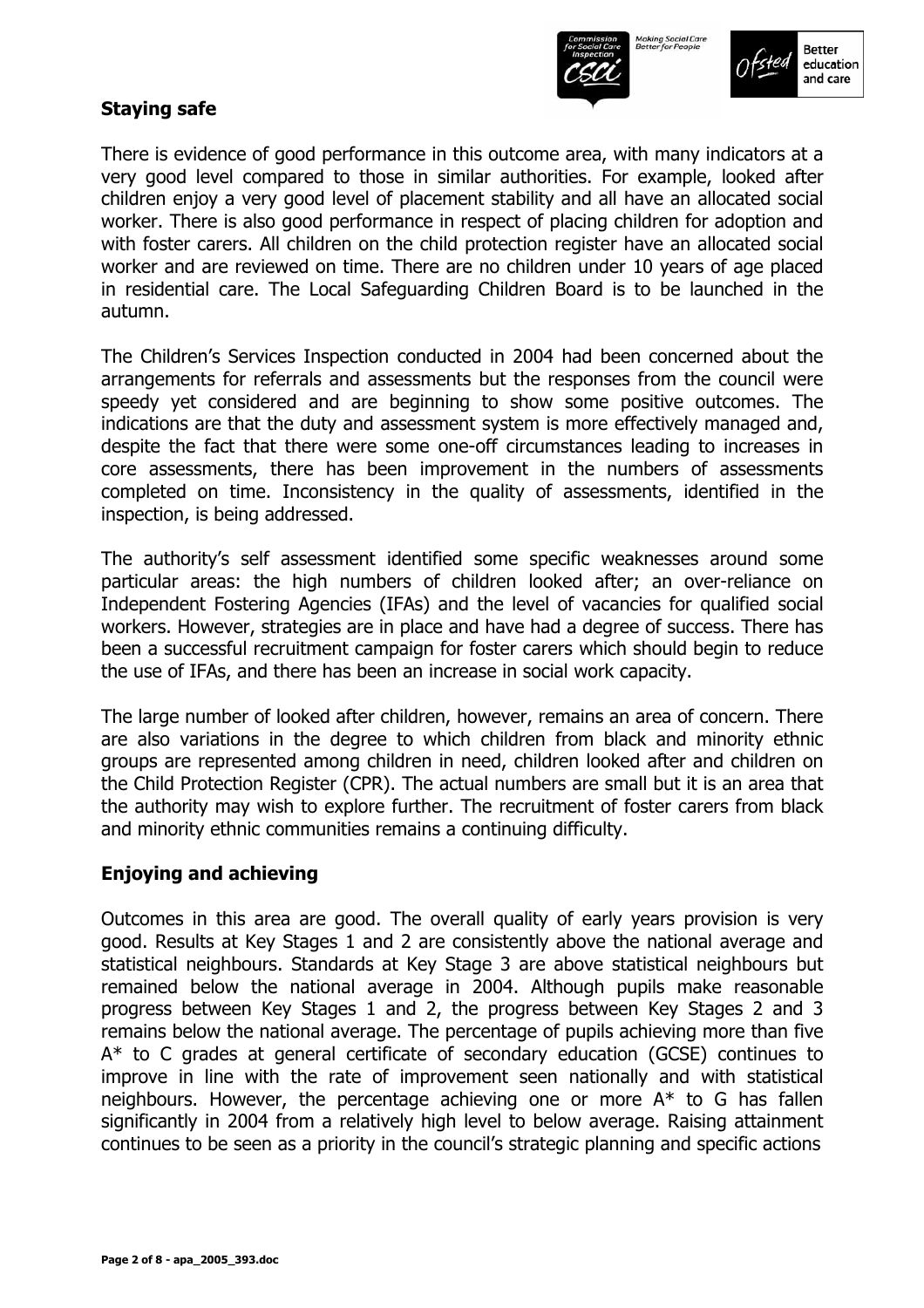



## **Staying safe**

There is evidence of good performance in this outcome area, with many indicators at a very good level compared to those in similar authorities. For example, looked after children enjoy a very good level of placement stability and all have an allocated social worker. There is also good performance in respect of placing children for adoption and with foster carers. All children on the child protection register have an allocated social worker and are reviewed on time. There are no children under 10 years of age placed in residential care. The Local Safeguarding Children Board is to be launched in the autumn.

The Childrenís Services Inspection conducted in 2004 had been concerned about the arrangements for referrals and assessments but the responses from the council were speedy yet considered and are beginning to show some positive outcomes. The indications are that the duty and assessment system is more effectively managed and, despite the fact that there were some one-off circumstances leading to increases in core assessments, there has been improvement in the numbers of assessments completed on time. Inconsistency in the quality of assessments, identified in the inspection, is being addressed.

The authorityís self assessment identified some specific weaknesses around some particular areas: the high numbers of children looked after; an over-reliance on Independent Fostering Agencies (IFAs) and the level of vacancies for qualified social workers. However, strategies are in place and have had a degree of success. There has been a successful recruitment campaign for foster carers which should begin to reduce the use of IFAs, and there has been an increase in social work capacity.

The large number of looked after children, however, remains an area of concern. There are also variations in the degree to which children from black and minority ethnic groups are represented among children in need, children looked after and children on the Child Protection Register (CPR). The actual numbers are small but it is an area that the authority may wish to explore further. The recruitment of foster carers from black and minority ethnic communities remains a continuing difficulty.

## **Enjoying and achieving**

Outcomes in this area are good. The overall quality of early years provision is very good. Results at Key Stages 1 and 2 are consistently above the national average and statistical neighbours. Standards at Key Stage 3 are above statistical neighbours but remained below the national average in 2004. Although pupils make reasonable progress between Key Stages 1 and 2, the progress between Key Stages 2 and 3 remains below the national average. The percentage of pupils achieving more than five A\* to C grades at general certificate of secondary education (GCSE) continues to improve in line with the rate of improvement seen nationally and with statistical neighbours. However, the percentage achieving one or more  $A^*$  to G has fallen significantly in 2004 from a relatively high level to below average. Raising attainment continues to be seen as a priority in the council's strategic planning and specific actions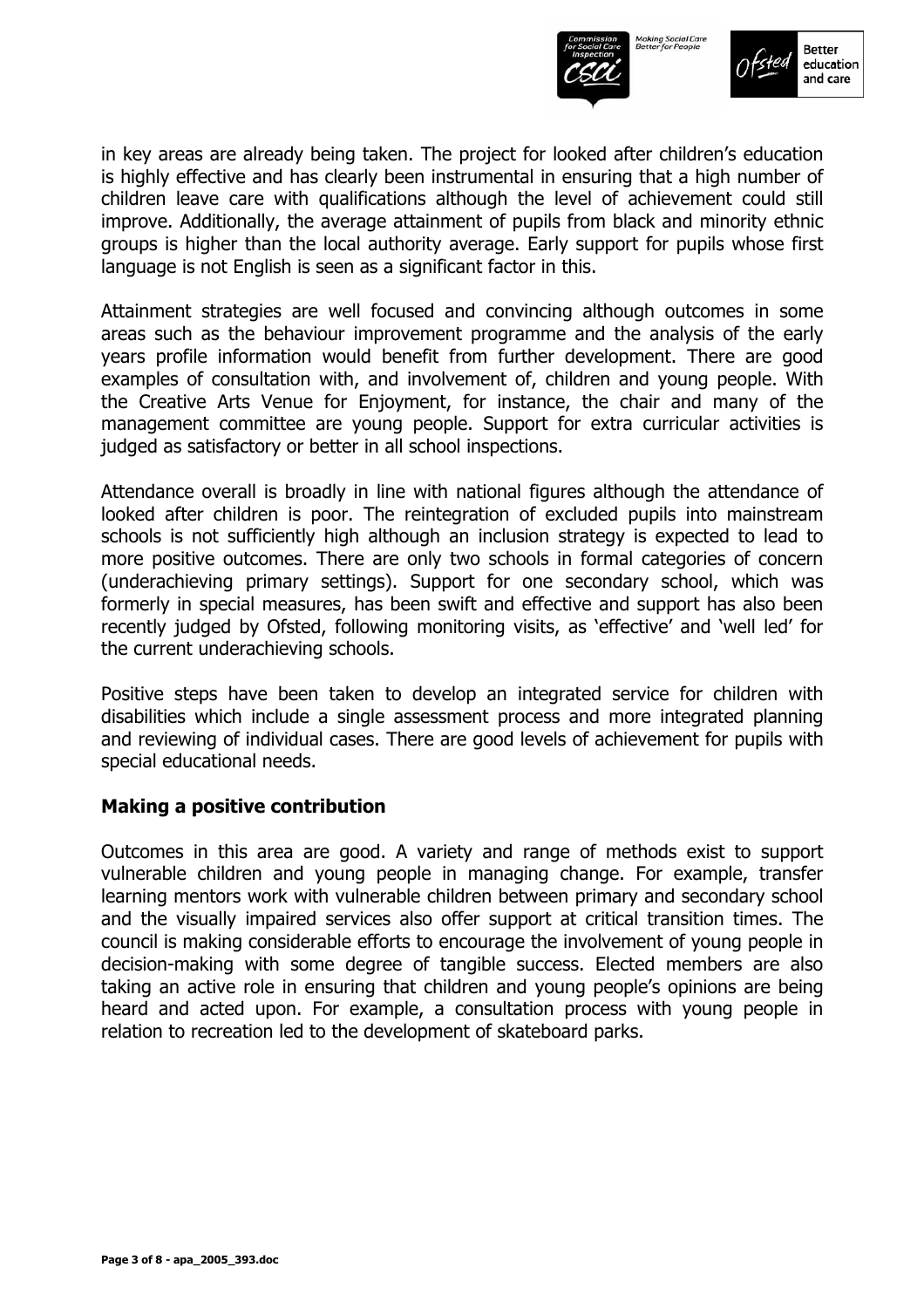



in key areas are already being taken. The project for looked after childrenís education is highly effective and has clearly been instrumental in ensuring that a high number of children leave care with qualifications although the level of achievement could still improve. Additionally, the average attainment of pupils from black and minority ethnic groups is higher than the local authority average. Early support for pupils whose first language is not English is seen as a significant factor in this.

Attainment strategies are well focused and convincing although outcomes in some areas such as the behaviour improvement programme and the analysis of the early years profile information would benefit from further development. There are good examples of consultation with, and involvement of, children and young people. With the Creative Arts Venue for Enjoyment, for instance, the chair and many of the management committee are young people. Support for extra curricular activities is judged as satisfactory or better in all school inspections.

Attendance overall is broadly in line with national figures although the attendance of looked after children is poor. The reintegration of excluded pupils into mainstream schools is not sufficiently high although an inclusion strategy is expected to lead to more positive outcomes. There are only two schools in formal categories of concern (underachieving primary settings). Support for one secondary school, which was formerly in special measures, has been swift and effective and support has also been recently judged by Ofsted, following monitoring visits, as 'effective' and 'well led' for the current underachieving schools.

Positive steps have been taken to develop an integrated service for children with disabilities which include a single assessment process and more integrated planning and reviewing of individual cases. There are good levels of achievement for pupils with special educational needs.

#### **Making a positive contribution**

Outcomes in this area are good. A variety and range of methods exist to support vulnerable children and young people in managing change. For example, transfer learning mentors work with vulnerable children between primary and secondary school and the visually impaired services also offer support at critical transition times. The council is making considerable efforts to encourage the involvement of young people in decision-making with some degree of tangible success. Elected members are also taking an active role in ensuring that children and young people's opinions are being heard and acted upon. For example, a consultation process with young people in relation to recreation led to the development of skateboard parks.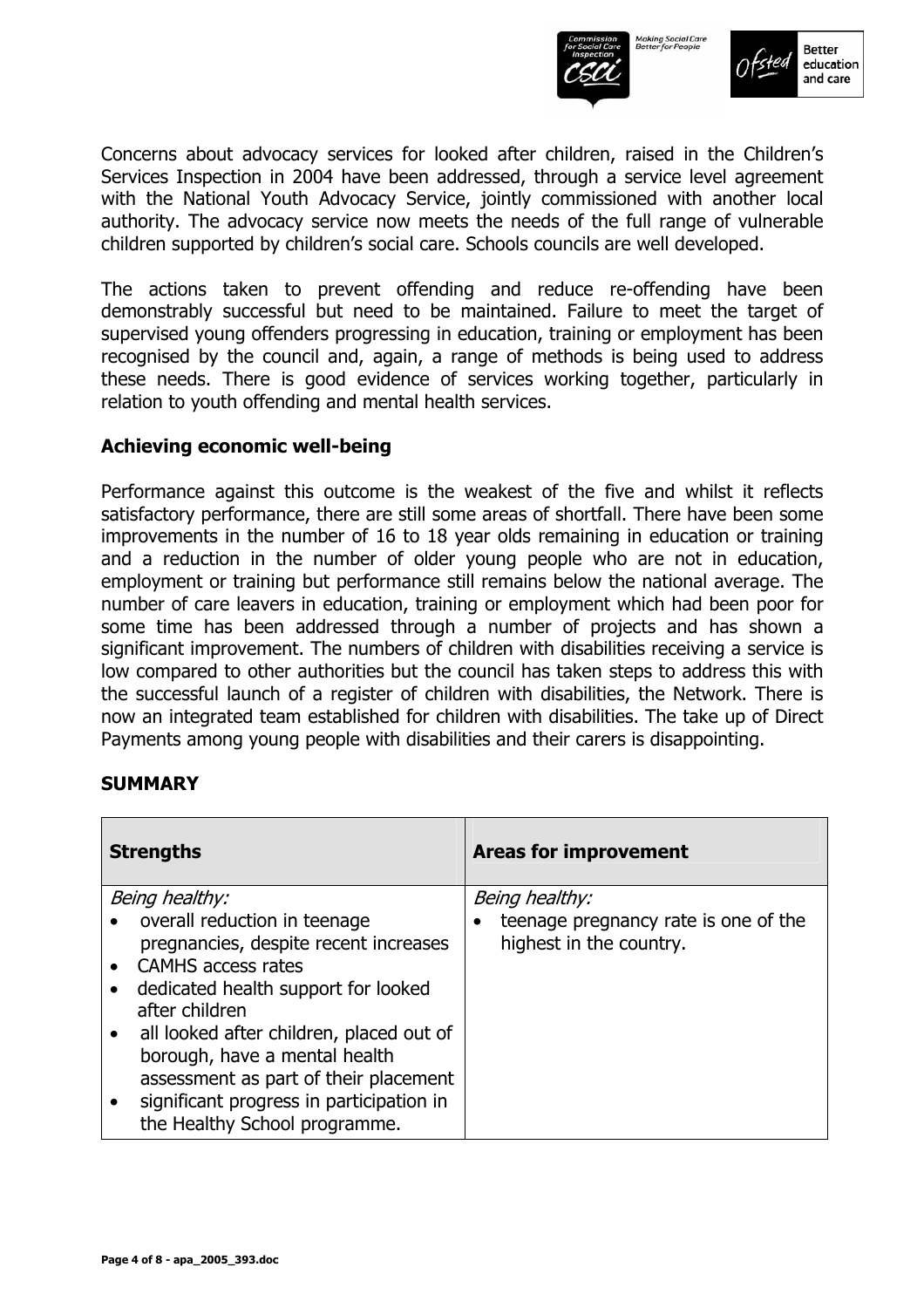



Concerns about advocacy services for looked after children, raised in the Childrenís Services Inspection in 2004 have been addressed, through a service level agreement with the National Youth Advocacy Service, jointly commissioned with another local authority. The advocacy service now meets the needs of the full range of vulnerable children supported by children's social care. Schools councils are well developed.

The actions taken to prevent offending and reduce re-offending have been demonstrably successful but need to be maintained. Failure to meet the target of supervised young offenders progressing in education, training or employment has been recognised by the council and, again, a range of methods is being used to address these needs. There is good evidence of services working together, particularly in relation to youth offending and mental health services.

#### **Achieving economic well-being**

Performance against this outcome is the weakest of the five and whilst it reflects satisfactory performance, there are still some areas of shortfall. There have been some improvements in the number of 16 to 18 year olds remaining in education or training and a reduction in the number of older young people who are not in education, employment or training but performance still remains below the national average. The number of care leavers in education, training or employment which had been poor for some time has been addressed through a number of projects and has shown a significant improvement. The numbers of children with disabilities receiving a service is low compared to other authorities but the council has taken steps to address this with the successful launch of a register of children with disabilities, the Network. There is now an integrated team established for children with disabilities. The take up of Direct Payments among young people with disabilities and their carers is disappointing.

## **SUMMARY**

| <b>Strengths</b>                                                                                                                                                                                                                                                                  | <b>Areas for improvement</b>                                    |
|-----------------------------------------------------------------------------------------------------------------------------------------------------------------------------------------------------------------------------------------------------------------------------------|-----------------------------------------------------------------|
| Being healthy:                                                                                                                                                                                                                                                                    | Being healthy:                                                  |
| overall reduction in teenage<br>pregnancies, despite recent increases<br><b>CAMHS</b> access rates<br>dedicated health support for looked<br>after children<br>all looked after children, placed out of<br>borough, have a mental health<br>assessment as part of their placement | teenage pregnancy rate is one of the<br>highest in the country. |
| significant progress in participation in<br>the Healthy School programme.                                                                                                                                                                                                         |                                                                 |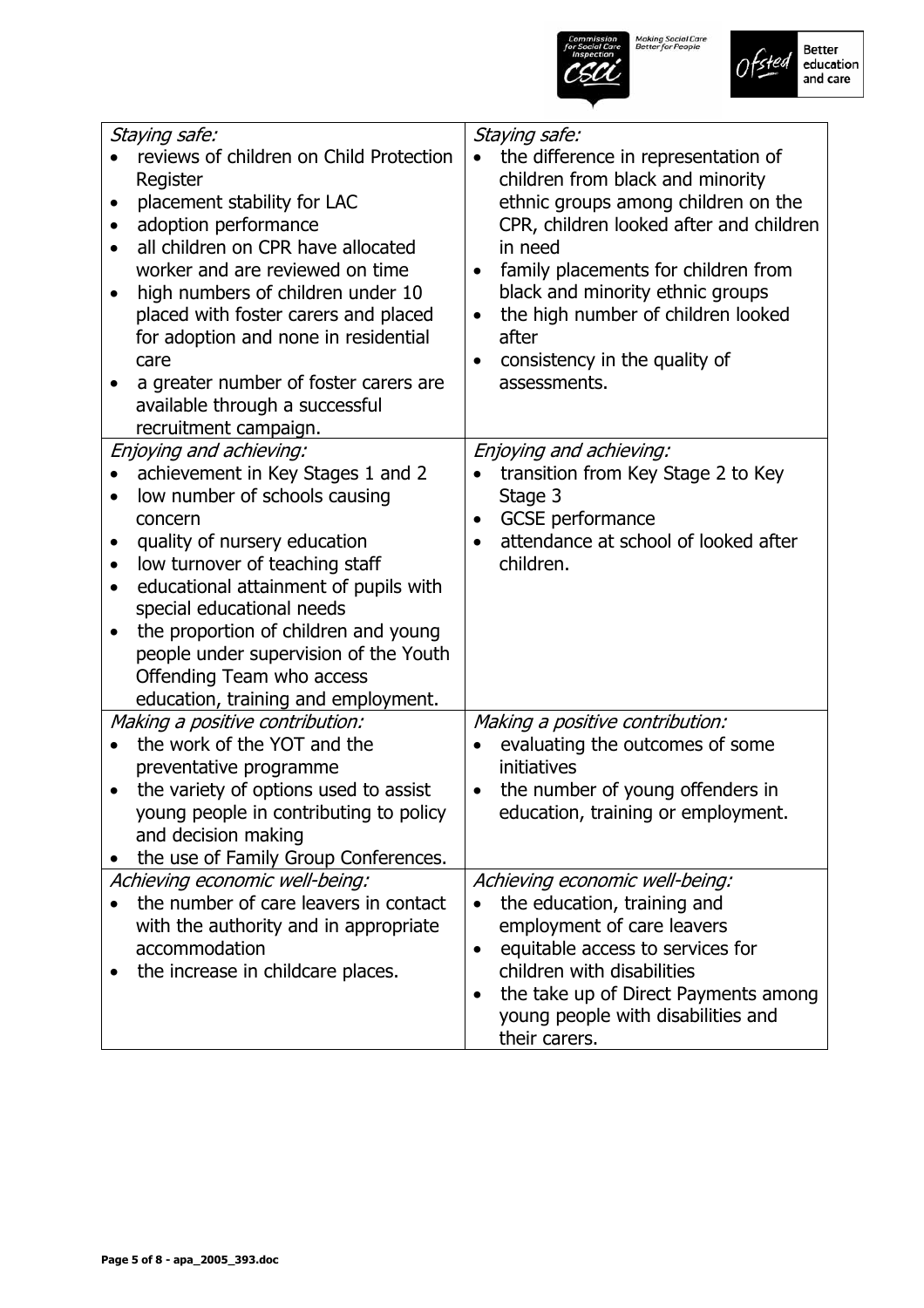



| Staying safe:<br>reviews of children on Child Protection<br>Register<br>placement stability for LAC<br>$\bullet$<br>adoption performance<br>$\bullet$<br>all children on CPR have allocated<br>worker and are reviewed on time<br>high numbers of children under 10<br>placed with foster carers and placed<br>for adoption and none in residential<br>care<br>a greater number of foster carers are<br>available through a successful<br>recruitment campaign.<br>Enjoying and achieving:<br>achievement in Key Stages 1 and 2<br>low number of schools causing<br>$\bullet$<br>concern<br>quality of nursery education<br>$\bullet$<br>low turnover of teaching staff<br>$\bullet$<br>educational attainment of pupils with<br>$\bullet$<br>special educational needs<br>the proportion of children and young<br>$\bullet$<br>people under supervision of the Youth<br>Offending Team who access | Staying safe:<br>the difference in representation of<br>children from black and minority<br>ethnic groups among children on the<br>CPR, children looked after and children<br>in need<br>family placements for children from<br>black and minority ethnic groups<br>the high number of children looked<br>$\bullet$<br>after<br>consistency in the quality of<br>assessments.<br>Enjoying and achieving:<br>transition from Key Stage 2 to Key<br>Stage 3<br><b>GCSE</b> performance<br>attendance at school of looked after<br>children. |
|----------------------------------------------------------------------------------------------------------------------------------------------------------------------------------------------------------------------------------------------------------------------------------------------------------------------------------------------------------------------------------------------------------------------------------------------------------------------------------------------------------------------------------------------------------------------------------------------------------------------------------------------------------------------------------------------------------------------------------------------------------------------------------------------------------------------------------------------------------------------------------------------------|-------------------------------------------------------------------------------------------------------------------------------------------------------------------------------------------------------------------------------------------------------------------------------------------------------------------------------------------------------------------------------------------------------------------------------------------------------------------------------------------------------------------------------------------|
| education, training and employment.<br>Making a positive contribution:<br>the work of the YOT and the<br>preventative programme<br>the variety of options used to assist<br>young people in contributing to policy<br>and decision making<br>the use of Family Group Conferences.                                                                                                                                                                                                                                                                                                                                                                                                                                                                                                                                                                                                                  | Making a positive contribution:<br>evaluating the outcomes of some<br>initiatives<br>the number of young offenders in<br>$\bullet$<br>education, training or employment.                                                                                                                                                                                                                                                                                                                                                                  |
| Achieving economic well-being:<br>the number of care leavers in contact<br>with the authority and in appropriate<br>accommodation<br>the increase in childcare places.                                                                                                                                                                                                                                                                                                                                                                                                                                                                                                                                                                                                                                                                                                                             | Achieving economic well-being:<br>the education, training and<br>employment of care leavers<br>equitable access to services for<br>$\bullet$<br>children with disabilities<br>the take up of Direct Payments among<br>young people with disabilities and<br>their carers.                                                                                                                                                                                                                                                                 |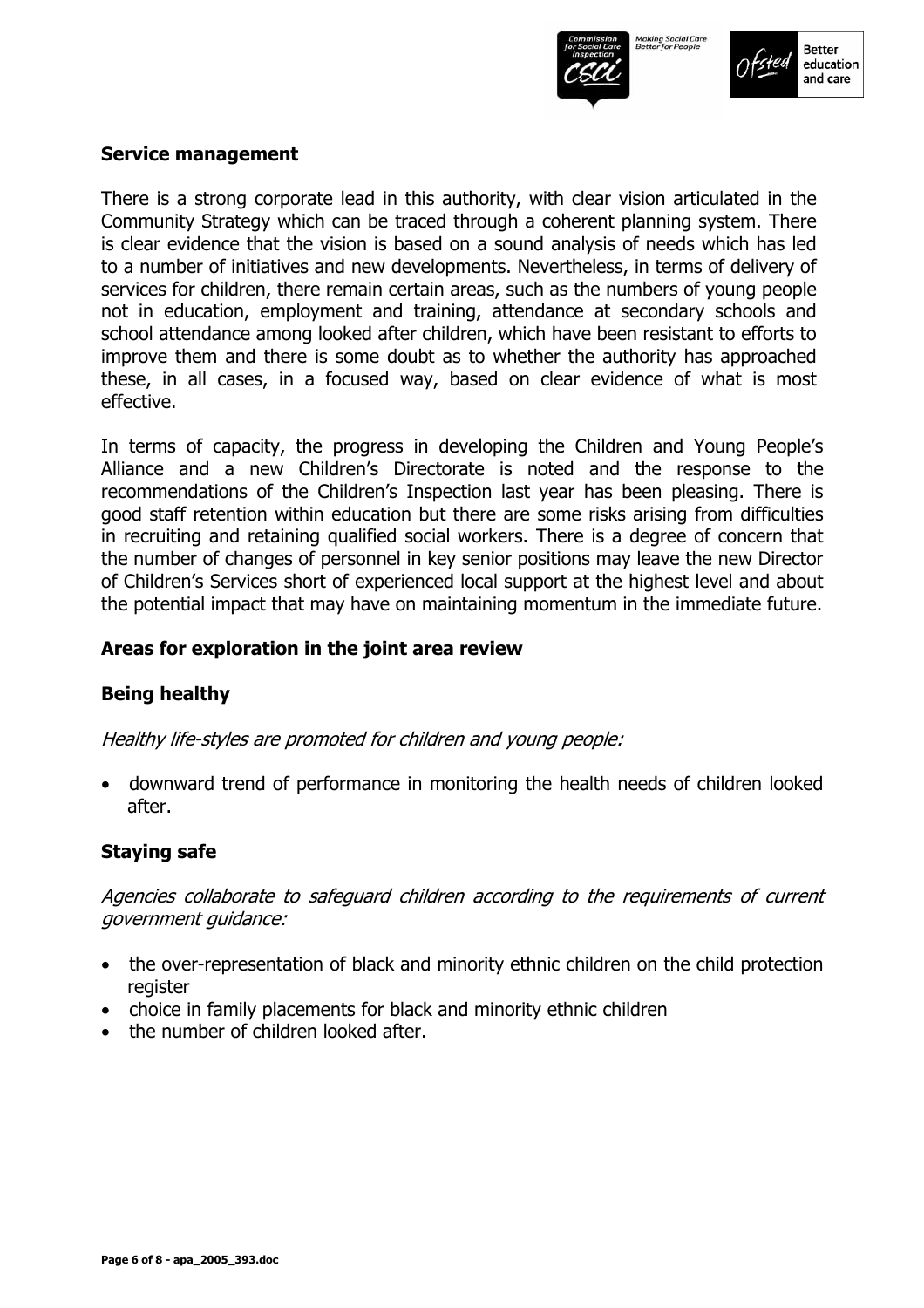



#### **Service management**

There is a strong corporate lead in this authority, with clear vision articulated in the Community Strategy which can be traced through a coherent planning system. There is clear evidence that the vision is based on a sound analysis of needs which has led to a number of initiatives and new developments. Nevertheless, in terms of delivery of services for children, there remain certain areas, such as the numbers of young people not in education, employment and training, attendance at secondary schools and school attendance among looked after children, which have been resistant to efforts to improve them and there is some doubt as to whether the authority has approached these, in all cases, in a focused way, based on clear evidence of what is most effective.

In terms of capacity, the progress in developing the Children and Young People's Alliance and a new Childrenís Directorate is noted and the response to the recommendations of the Children's Inspection last year has been pleasing. There is good staff retention within education but there are some risks arising from difficulties in recruiting and retaining qualified social workers. There is a degree of concern that the number of changes of personnel in key senior positions may leave the new Director of Childrenís Services short of experienced local support at the highest level and about the potential impact that may have on maintaining momentum in the immediate future.

#### **Areas for exploration in the joint area review**

#### **Being healthy**

Healthy life-styles are promoted for children and young people:

• downward trend of performance in monitoring the health needs of children looked after.

#### **Staying safe**

Agencies collaborate to safeguard children according to the requirements of current government guidance:

- the over-representation of black and minority ethnic children on the child protection register
- choice in family placements for black and minority ethnic children
- the number of children looked after.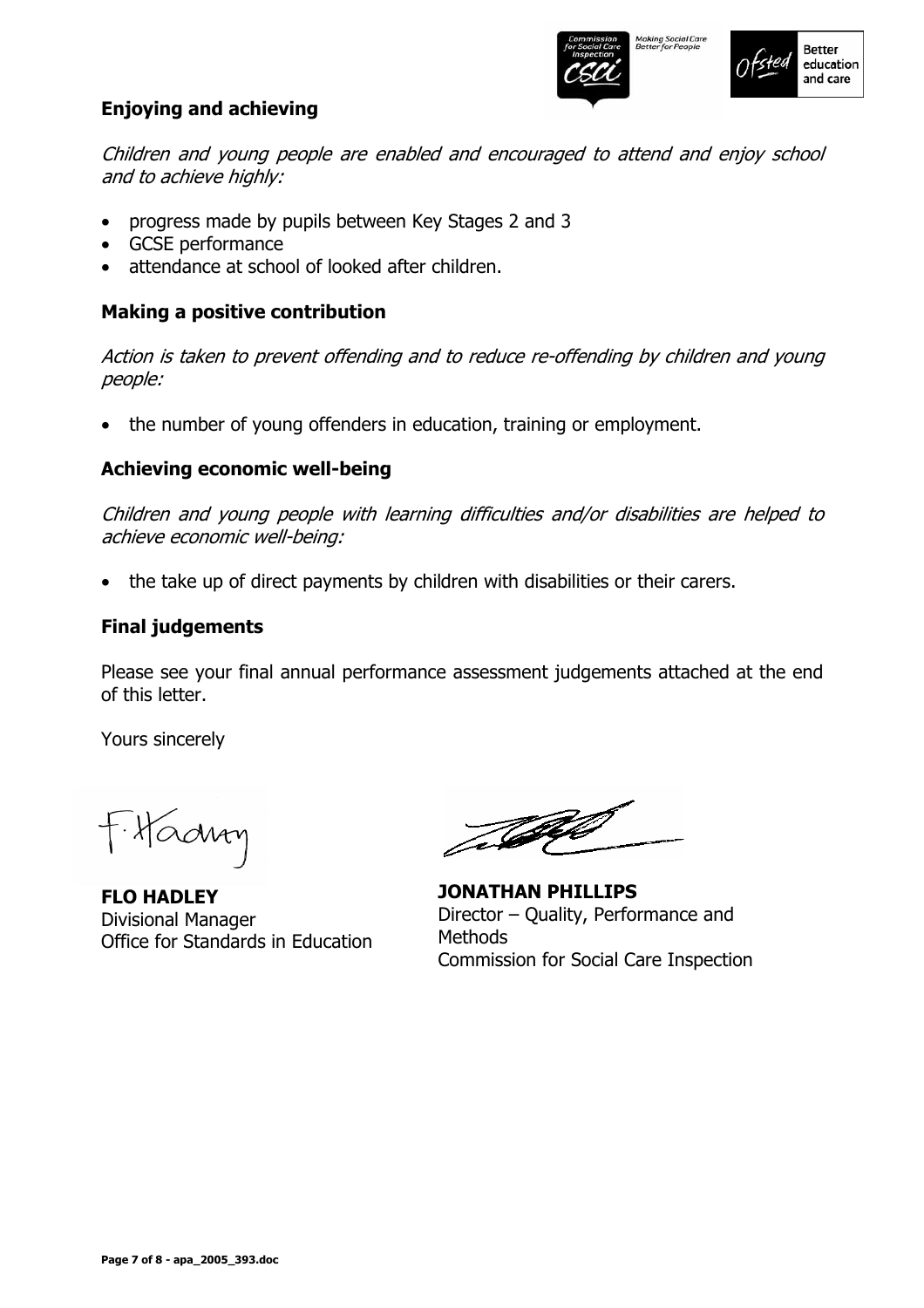

## **Enjoying and achieving**

Children and young people are enabled and encouraged to attend and enjoy school and to achieve highly:

- progress made by pupils between Key Stages 2 and 3
- GCSE performance
- attendance at school of looked after children.

## **Making a positive contribution**

Action is taken to prevent offending and to reduce re-offending by children and young people:

• the number of young offenders in education, training or employment.

## **Achieving economic well-being**

Children and young people with learning difficulties and/or disabilities are helped to achieve economic well-being:

• the take up of direct payments by children with disabilities or their carers.

#### **Final judgements**

Please see your final annual performance assessment judgements attached at the end of this letter.

Yours sincerely

F. Hadroy

**FLO HADLEY**  Divisional Manager Office for Standards in Education

TA

**JONATHAN PHILLIPS**  Director  $-$  Quality, Performance and **Methods** Commission for Social Care Inspection